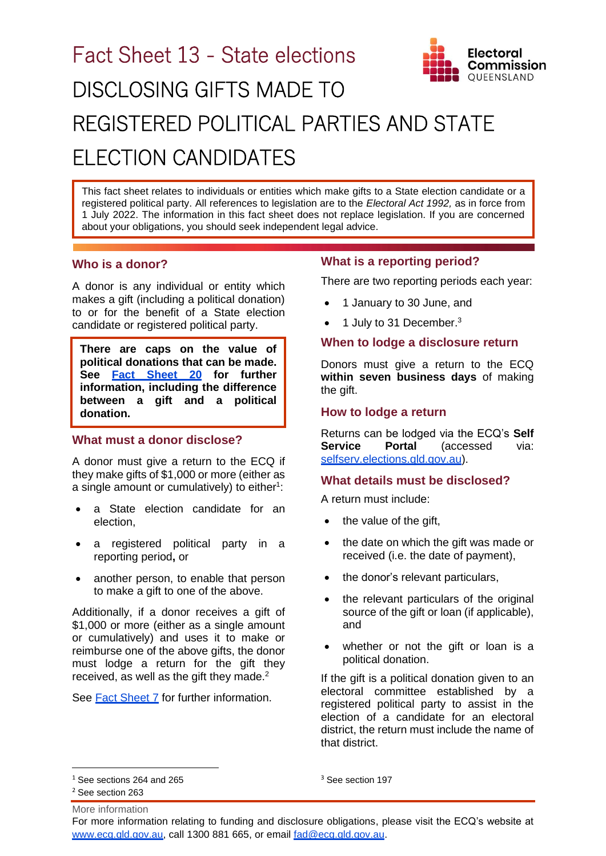# Fact Sheet 13 - State elections DISCLOSING GIFTS MADE TO



## REGISTERED POLITICAL PARTIES AND STATE ELECTION CANDIDATES

This fact sheet relates to individuals or entities which make gifts to a State election candidate or a registered political party. All references to legislation are to the *Electoral Act 1992,* as in force from 1 July 2022. The information in this fact sheet does not replace legislation. If you are concerned about your obligations, you should seek independent legal advice.

#### **Who is a donor?**

A donor is any individual or entity which makes a gift (including a political donation) to or for the benefit of a State election candidate or registered political party.

**There are caps on the value of political donations that can be made. See [Fact Sheet 20](https://www.ecq.qld.gov.au/election-participants/handbooks,-fact-sheets-and-forms) for further information, including the difference between a gift and a political donation.**

#### **What must a donor disclose?**

A donor must give a return to the ECQ if they make gifts of \$1,000 or more (either as a single amount or cumulatively) to either $1$ :

- a State election candidate for an election,
- a registered political party in a reporting period**,** or
- another person, to enable that person to make a gift to one of the above.

Additionally, if a donor receives a gift of \$1,000 or more (either as a single amount or cumulatively) and uses it to make or reimburse one of the above gifts, the donor must lodge a return for the gift they received, as well as the gift they made.<sup>2</sup>

See [Fact Sheet 7](https://www.ecq.qld.gov.au/election-participants/handbooks,-fact-sheets-and-forms) for further information.

### **What is a reporting period?**

There are two reporting periods each year:

- 1 January to 30 June, and
- $\bullet$  1 July to 31 December.<sup>3</sup>

#### **When to lodge a disclosure return**

Donors must give a return to the ECQ **within seven business days** of making the gift.

#### **How to lodge a return**

Returns can be lodged via the ECQ's **Self Service Portal** (accessed via: selfserv.elections.gld.gov.au).

#### **What details must be disclosed?**

A return must include:

- the value of the gift,
- the date on which the gift was made or received (i.e. the date of payment),
- the donor's relevant particulars,
- the relevant particulars of the original source of the gift or loan (if applicable), and
- whether or not the gift or loan is a political donation.

If the gift is a political donation given to an electoral committee established by a registered political party to assist in the election of a candidate for an electoral district, the return must include the name of that district.

<sup>3</sup> See section 197

<sup>&</sup>lt;sup>1</sup> See sections 264 and 265

More information <sup>2</sup> See section 263

For more information relating to funding and disclosure obligations, please visit the ECQ's website at [www.ecq.qld.gov.au,](http://www.ecq.qld.gov.au/) call 1300 881 665, or email [fad@ecq.qld.gov.au.](mailto:fad@ecq.qld.gov.au)